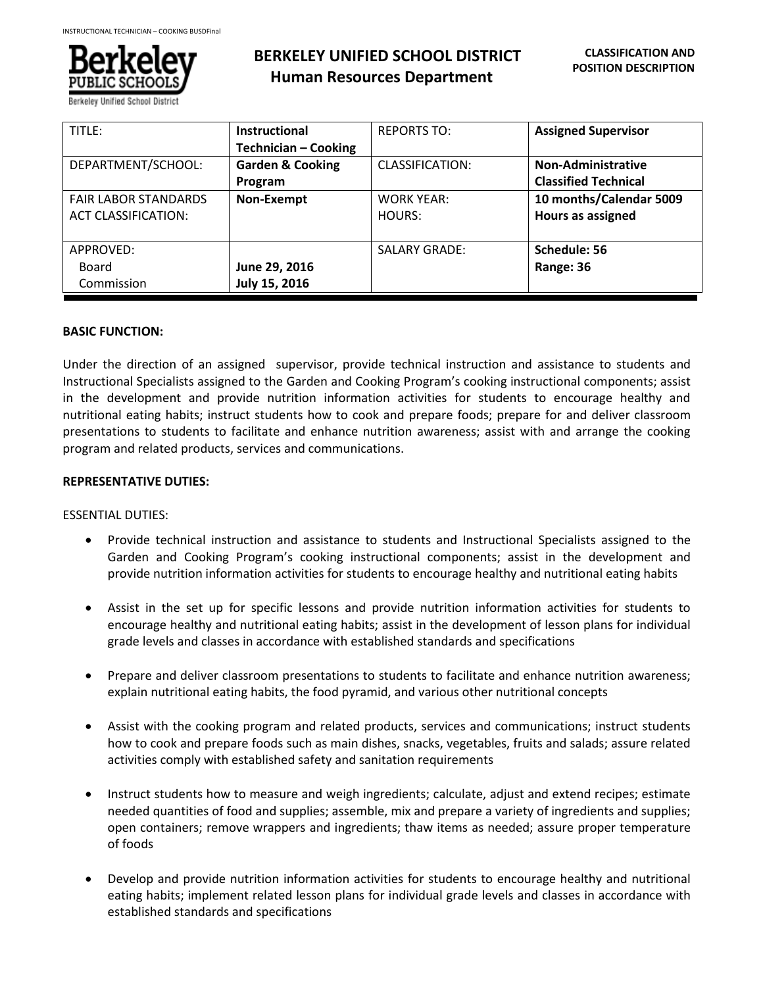

Berkelev Unified School Dis

# **BERKELEY UNIFIED SCHOOL DISTRICT Human Resources Department**

| TITLE:                      | <b>Instructional</b>        | <b>REPORTS TO:</b>   | <b>Assigned Supervisor</b>  |
|-----------------------------|-----------------------------|----------------------|-----------------------------|
|                             | <b>Technician - Cooking</b> |                      |                             |
| DEPARTMENT/SCHOOL:          | <b>Garden &amp; Cooking</b> | CLASSIFICATION:      | <b>Non-Administrative</b>   |
|                             | Program                     |                      | <b>Classified Technical</b> |
| <b>FAIR LABOR STANDARDS</b> | Non-Exempt                  | <b>WORK YEAR:</b>    | 10 months/Calendar 5009     |
| <b>ACT CLASSIFICATION:</b>  |                             | HOURS:               | Hours as assigned           |
|                             |                             |                      |                             |
| APPROVED:                   |                             | <b>SALARY GRADE:</b> | Schedule: 56                |
| Board                       | June 29, 2016               |                      | Range: 36                   |
| Commission                  | July 15, 2016               |                      |                             |

## **BASIC FUNCTION:**

Under the direction of an assigned supervisor, provide technical instruction and assistance to students and Instructional Specialists assigned to the Garden and Cooking Program's cooking instructional components; assist in the development and provide nutrition information activities for students to encourage healthy and nutritional eating habits; instruct students how to cook and prepare foods; prepare for and deliver classroom presentations to students to facilitate and enhance nutrition awareness; assist with and arrange the cooking program and related products, services and communications.

## **REPRESENTATIVE DUTIES:**

#### ESSENTIAL DUTIES:

- Provide technical instruction and assistance to students and Instructional Specialists assigned to the Garden and Cooking Program's cooking instructional components; assist in the development and provide nutrition information activities for students to encourage healthy and nutritional eating habits
- Assist in the set up for specific lessons and provide nutrition information activities for students to encourage healthy and nutritional eating habits; assist in the development of lesson plans for individual grade levels and classes in accordance with established standards and specifications
- Prepare and deliver classroom presentations to students to facilitate and enhance nutrition awareness; explain nutritional eating habits, the food pyramid, and various other nutritional concepts
- Assist with the cooking program and related products, services and communications; instruct students how to cook and prepare foods such as main dishes, snacks, vegetables, fruits and salads; assure related activities comply with established safety and sanitation requirements
- Instruct students how to measure and weigh ingredients; calculate, adjust and extend recipes; estimate needed quantities of food and supplies; assemble, mix and prepare a variety of ingredients and supplies; open containers; remove wrappers and ingredients; thaw items as needed; assure proper temperature of foods
- Develop and provide nutrition information activities for students to encourage healthy and nutritional eating habits; implement related lesson plans for individual grade levels and classes in accordance with established standards and specifications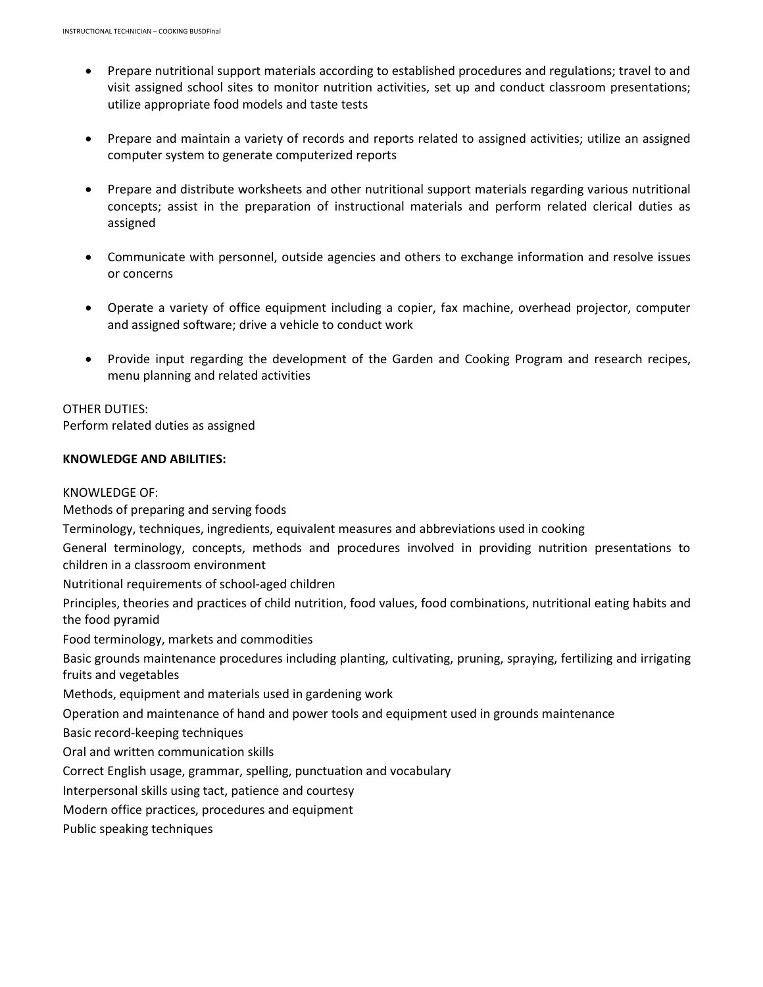- Prepare nutritional support materials according to established procedures and regulations; travel to and visit assigned school sites to monitor nutrition activities, set up and conduct classroom presentations; utilize appropriate food models and taste tests
- Prepare and maintain a variety of records and reports related to assigned activities; utilize an assigned computer system to generate computerized reports
- Prepare and distribute worksheets and other nutritional support materials regarding various nutritional concepts; assist in the preparation of instructional materials and perform related clerical duties as assigned
- Communicate with personnel, outside agencies and others to exchange information and resolve issues or concerns
- Operate a variety of office equipment including a copier, fax machine, overhead projector, computer and assigned software; drive a vehicle to conduct work
- Provide input regarding the development of the Garden and Cooking Program and research recipes, menu planning and related activities

# OTHER DUTIES:

Perform related duties as assigned

# **KNOWLEDGE AND ABILITIES:**

# KNOWLEDGE OF:

Methods of preparing and serving foods

Terminology, techniques, ingredients, equivalent measures and abbreviations used in cooking

General terminology, concepts, methods and procedures involved in providing nutrition presentations to children in a classroom environment

Nutritional requirements of school-aged children

Principles, theories and practices of child nutrition, food values, food combinations, nutritional eating habits and the food pyramid

Food terminology, markets and commodities

Basic grounds maintenance procedures including planting, cultivating, pruning, spraying, fertilizing and irrigating fruits and vegetables

Methods, equipment and materials used in gardening work

Operation and maintenance of hand and power tools and equipment used in grounds maintenance

Basic record-keeping techniques

Oral and written communication skills

Correct English usage, grammar, spelling, punctuation and vocabulary

Interpersonal skills using tact, patience and courtesy

Modern office practices, procedures and equipment

Public speaking techniques